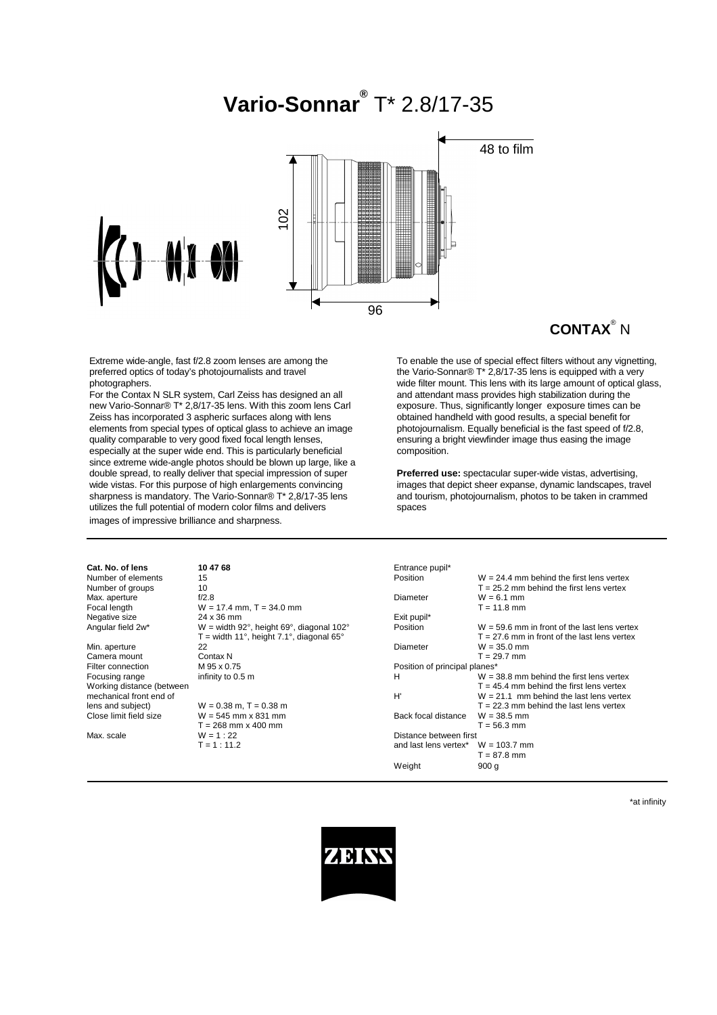# **Vario-Sonnar®** T\* 2.8/17-35



## **CONTAX**® N

Extreme wide-angle, fast f/2.8 zoom lenses are among the preferred optics of today's photojournalists and travel photographers.

For the Contax N SLR system, Carl Zeiss has designed an all new Vario-Sonnar® T\* 2,8/17-35 lens. With this zoom lens Carl Zeiss has incorporated 3 aspheric surfaces along with lens elements from special types of optical glass to achieve an image quality comparable to very good fixed focal length lenses, especially at the super wide end. This is particularly beneficial since extreme wide-angle photos should be blown up large, like a double spread, to really deliver that special impression of super wide vistas. For this purpose of high enlargements convincing sharpness is mandatory. The Vario-Sonnar® T\* 2,8/17-35 lens utilizes the full potential of modern color films and delivers images of impressive brilliance and sharpness.

To enable the use of special effect filters without any vignetting, the Vario-Sonnar® T\* 2,8/17-35 lens is equipped with a very wide filter mount. This lens with its large amount of optical glass, and attendant mass provides high stabilization during the exposure. Thus, significantly longer exposure times can be obtained handheld with good results, a special benefit for photojournalism. Equally beneficial is the fast speed of f/2.8, ensuring a bright viewfinder image thus easing the image composition.

**Preferred use:** spectacular super-wide vistas, advertising, images that depict sheer expanse, dynamic landscapes, travel and tourism, photojournalism, photos to be taken in crammed spaces

| Cat. No. of lens          | 10 47 68                                   | Entrance pupil*               |                                                |
|---------------------------|--------------------------------------------|-------------------------------|------------------------------------------------|
| Number of elements        | 15                                         | Position                      | $W = 24.4$ mm behind the first lens vertex     |
| Number of groups          | 10                                         |                               | $T = 25.2$ mm behind the first lens vertex     |
| Max. aperture             | f/2.8                                      | Diameter                      | $W = 6.1$ mm                                   |
| Focal length              | $W = 17.4$ mm, $T = 34.0$ mm               |                               | $T = 11.8$ mm                                  |
| Negative size             | 24 x 36 mm                                 | Exit pupil*                   |                                                |
| Angular field 2w*         | $W =$ width 92°, height 69°, diagonal 102° | Position                      | $W = 59.6$ mm in front of the last lens vertex |
|                           | $T =$ width 11°, height 7.1°, diagonal 65° |                               | $T = 27.6$ mm in front of the last lens vertex |
| Min. aperture             | 22                                         | Diameter                      | $W = 35.0$ mm                                  |
| Camera mount              | Contax N                                   |                               | $T = 29.7$ mm                                  |
| Filter connection         | M 95 x 0.75                                | Position of principal planes* |                                                |
| Focusing range            | infinity to 0.5 m                          | H                             | $W = 38.8$ mm behind the first lens vertex     |
| Working distance (between |                                            |                               | $T = 45.4$ mm behind the first lens vertex     |
| mechanical front end of   |                                            | H'                            | $W = 21.1$ mm behind the last lens vertex      |
| lens and subject)         | $W = 0.38$ m, T = 0.38 m                   |                               | $T = 22.3$ mm behind the last lens vertex      |
| Close limit field size    | $W = 545$ mm x 831 mm                      | Back focal distance           | $W = 38.5$ mm                                  |
|                           | $T = 268$ mm x 400 mm                      |                               | $T = 56.3$ mm                                  |
| Max. scale                | $W = 1:22$                                 | Distance between first        |                                                |
|                           | $T = 1:11.2$                               | and last lens vertex*         | $W = 103.7$ mm                                 |
|                           |                                            |                               | $T = 87.8$ mm                                  |
|                           |                                            | Weight                        | 900q                                           |

\*at infinity

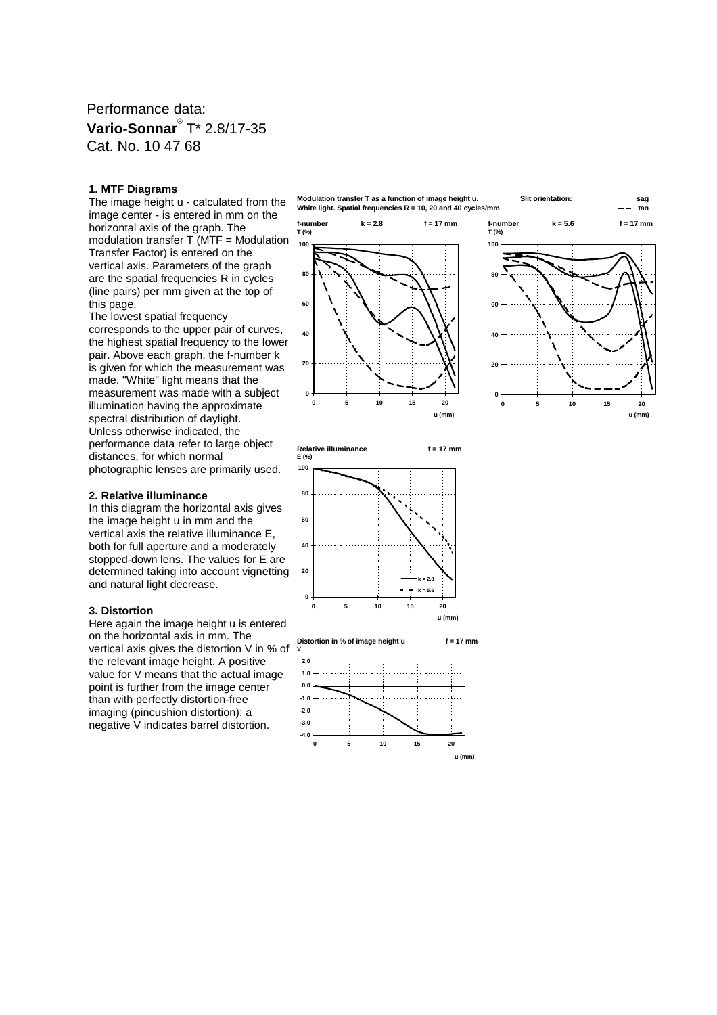## Performance data: **Vario-Sonnar**® T\* 2.8/17-35 Cat. No. 10 47 68

#### **1. MTF Diagrams**

The image height u - calculated from the image center - is entered in mm on the horizontal axis of the graph. The modulation transfer T (MTF = Modulation Transfer Factor) is entered on the vertical axis. Parameters of the graph are the spatial frequencies R in cycles (line pairs) per mm given at the top of this page.

The lowest spatial frequency corresponds to the upper pair of curves, the highest spatial frequency to the lower pair. Above each graph, the f-number k is given for which the measurement was made. "White" light means that the measurement was made with a subject illumination having the approximate spectral distribution of daylight. Unless otherwise indicated, the performance data refer to large object distances, for which normal photographic lenses are primarily used.

#### **2. Relative illuminance**

In this diagram the horizontal axis gives the image height u in mm and the vertical axis the relative illuminance E, both for full aperture and a moderately stopped-down lens. The values for E are determined taking into account vignetting and natural light decrease.

#### **3. Distortion**

Here again the image height u is entered on the horizontal axis in mm. The vertical axis gives the distortion V in % of the relevant image height. A positive value for V means that the actual image point is further from the image center than with perfectly distortion-free imaging (pincushion distortion); a negative V indicates barrel distortion.

**Modulation transfer T as a function of image height u. Slit orientation: sag White light. Spatial frequencies R = 10, 20 and 40 cycles/mm tan**





**Relative illuminance f = 17 mm E (%) 100**





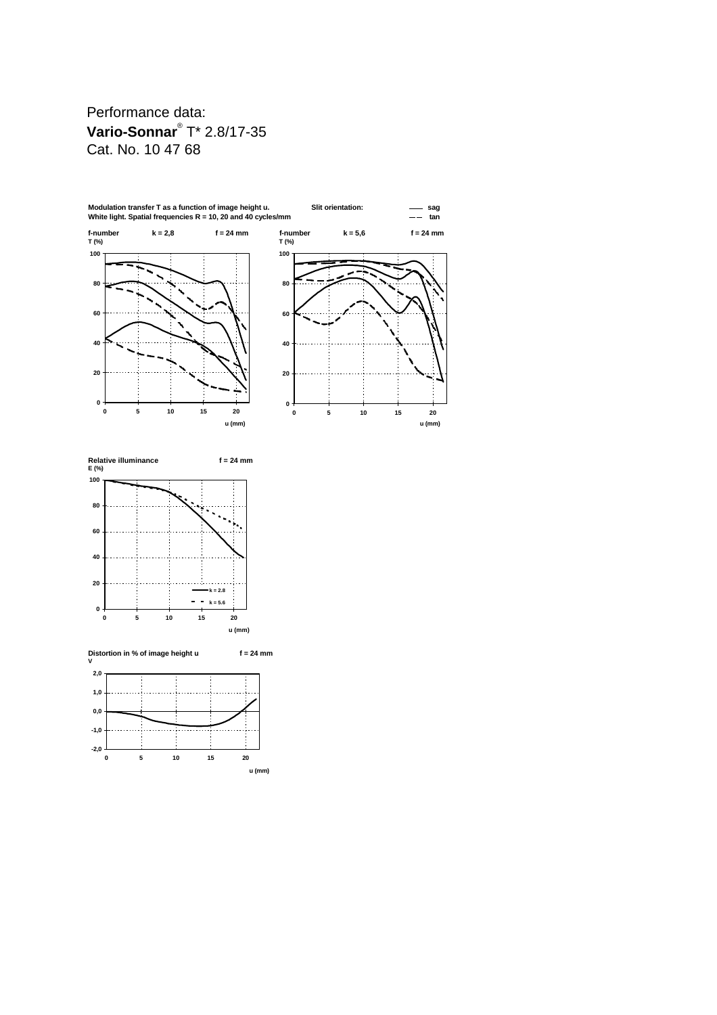Performance data: **Vario-Sonnar**® T\* 2.8/17-35 Cat. No. 10 47 68





**Distortion in % of image height u f = 24 mm V 2,0**